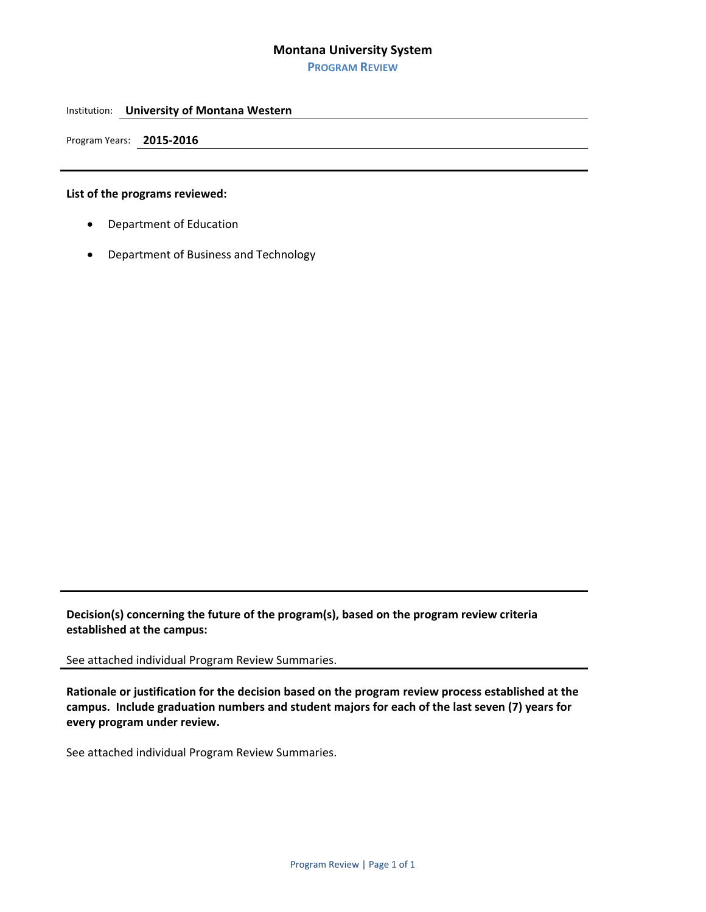**PROGRAM REVIEW**

#### Institution: **University of Montana Western**

Program Years: **2015‐2016** 

### **List of the programs reviewed:**

- Department of Education
- Department of Business and Technology

**Decision(s) concerning the future of the program(s), based on the program review criteria established at the campus:** 

See attached individual Program Review Summaries.

**Rationale or justification for the decision based on the program review process established at the campus. Include graduation numbers and student majors for each of the last seven (7) years for every program under review.** 

See attached individual Program Review Summaries.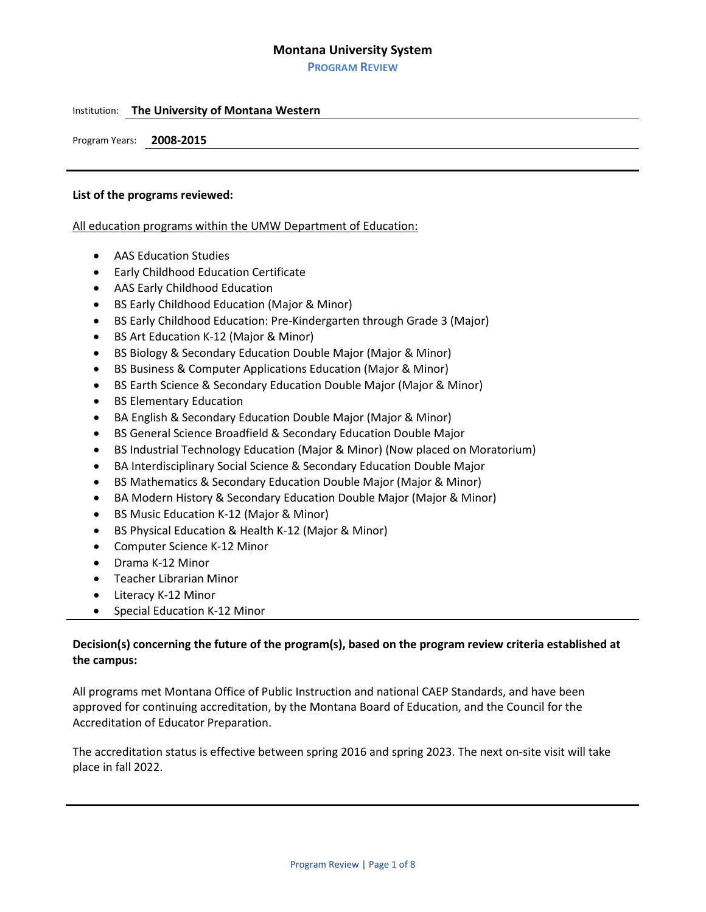**PROGRAM REVIEW**

### Institution: **The University of Montana Western**

Program Years: **2008-2015**

#### **List of the programs reviewed:**

All education programs within the UMW Department of Education:

- AAS Education Studies
- Early Childhood Education Certificate
- AAS Early Childhood Education
- BS Early Childhood Education (Major & Minor)
- BS Early Childhood Education: Pre-Kindergarten through Grade 3 (Major)
- BS Art Education K-12 (Major & Minor)
- BS Biology & Secondary Education Double Major (Major & Minor)
- BS Business & Computer Applications Education (Major & Minor)
- BS Earth Science & Secondary Education Double Major (Major & Minor)
- **BS Elementary Education**
- BA English & Secondary Education Double Major (Major & Minor)
- BS General Science Broadfield & Secondary Education Double Major
- BS Industrial Technology Education (Major & Minor) (Now placed on Moratorium)
- BA Interdisciplinary Social Science & Secondary Education Double Major
- BS Mathematics & Secondary Education Double Major (Major & Minor)
- BA Modern History & Secondary Education Double Major (Major & Minor)
- BS Music Education K-12 (Major & Minor)
- BS Physical Education & Health K-12 (Major & Minor)
- Computer Science K-12 Minor
- Drama K-12 Minor
- Teacher Librarian Minor
- Literacy K-12 Minor
- Special Education K-12 Minor

## **Decision(s) concerning the future of the program(s), based on the program review criteria established at the campus:**

All programs met Montana Office of Public Instruction and national CAEP Standards, and have been approved for continuing accreditation, by the Montana Board of Education, and the Council for the Accreditation of Educator Preparation.

The accreditation status is effective between spring 2016 and spring 2023. The next on-site visit will take place in fall 2022.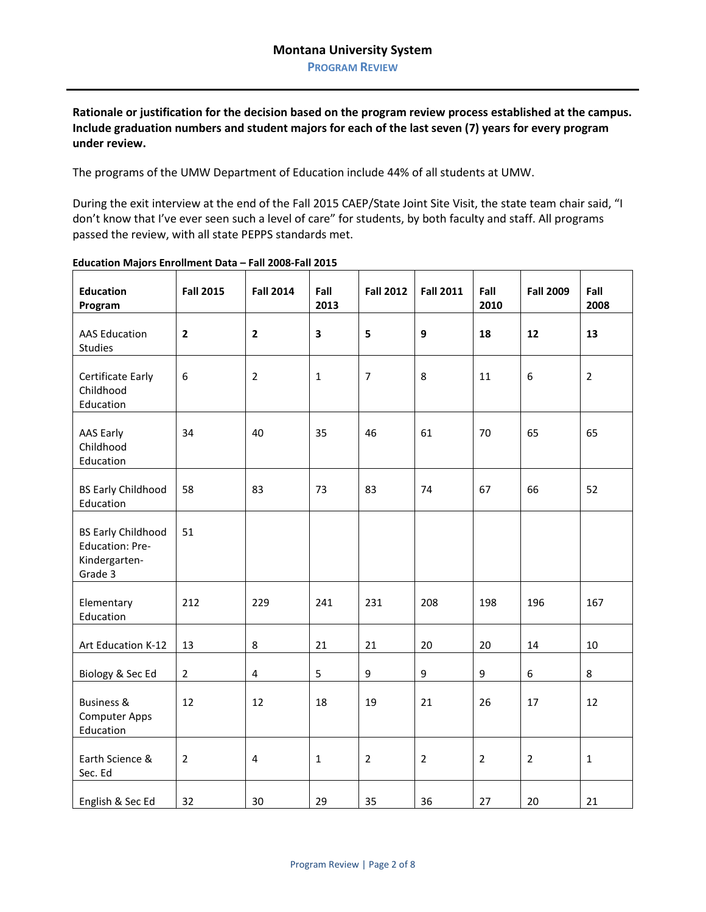**PROGRAM REVIEW**

**Rationale or justification for the decision based on the program review process established at the campus. Include graduation numbers and student majors for each of the last seven (7) years for every program under review.**

The programs of the UMW Department of Education include 44% of all students at UMW.

During the exit interview at the end of the Fall 2015 CAEP/State Joint Site Visit, the state team chair said, "I don't know that I've ever seen such a level of care" for students, by both faculty and staff. All programs passed the review, with all state PEPPS standards met.

| <b>Education</b><br>Program                                                     | <b>Fall 2015</b> | <b>Fall 2014</b>        | Fall<br>2013 | <b>Fall 2012</b> | <b>Fall 2011</b> | Fall<br>2010   | <b>Fall 2009</b> | Fall<br>2008   |
|---------------------------------------------------------------------------------|------------------|-------------------------|--------------|------------------|------------------|----------------|------------------|----------------|
| <b>AAS Education</b><br><b>Studies</b>                                          | $\mathbf{2}$     | $\overline{\mathbf{2}}$ | 3            | 5                | 9                | 18             | 12               | 13             |
| Certificate Early<br>Childhood<br>Education                                     | 6                | $\overline{2}$          | $\mathbf{1}$ | 7                | 8                | 11             | 6                | $\overline{2}$ |
| AAS Early<br>Childhood<br>Education                                             | 34               | 40                      | 35           | 46               | 61               | 70             | 65               | 65             |
| <b>BS Early Childhood</b><br>Education                                          | 58               | 83                      | 73           | 83               | 74               | 67             | 66               | 52             |
| <b>BS Early Childhood</b><br><b>Education: Pre-</b><br>Kindergarten-<br>Grade 3 | 51               |                         |              |                  |                  |                |                  |                |
| Elementary<br>Education                                                         | 212              | 229                     | 241          | 231              | 208              | 198            | 196              | 167            |
| Art Education K-12                                                              | 13               | 8                       | 21           | 21               | 20               | 20             | 14               | 10             |
| Biology & Sec Ed                                                                | $\overline{2}$   | $\pmb{4}$               | 5            | $\boldsymbol{9}$ | 9                | 9              | 6                | 8              |
| <b>Business &amp;</b><br><b>Computer Apps</b><br>Education                      | 12               | 12                      | 18           | 19               | 21               | 26             | 17               | 12             |
| Earth Science &<br>Sec. Ed                                                      | $\overline{2}$   | $\pmb{4}$               | $\mathbf{1}$ | $\overline{2}$   | $\overline{2}$   | $\overline{2}$ | $\overline{2}$   | $\mathbf 1$    |
| English & Sec Ed                                                                | 32               | 30                      | 29           | 35               | 36               | 27             | 20               | 21             |

### **Education Majors Enrollment Data – Fall 2008-Fall 2015**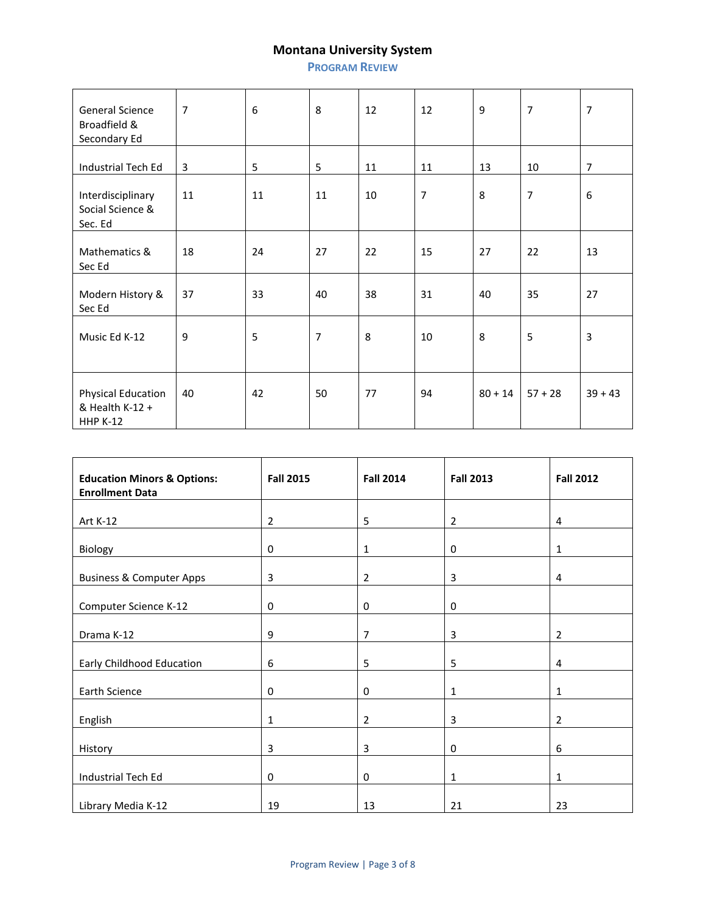**PROGRAM REVIEW**

| General Science<br>Broadfield &<br>Secondary Ed                 | $\overline{7}$ | 6  | 8  | 12 | 12             | 9         | $\overline{7}$ | $\overline{7}$ |
|-----------------------------------------------------------------|----------------|----|----|----|----------------|-----------|----------------|----------------|
| Industrial Tech Ed                                              | 3              | 5  | 5  | 11 | 11             | 13        | 10             | $\overline{7}$ |
| Interdisciplinary<br>Social Science &<br>Sec. Ed                | 11             | 11 | 11 | 10 | $\overline{7}$ | 8         | $\overline{7}$ | 6              |
| Mathematics &<br>Sec Ed                                         | 18             | 24 | 27 | 22 | 15             | 27        | 22             | 13             |
| Modern History &<br>Sec Ed                                      | 37             | 33 | 40 | 38 | 31             | 40        | 35             | 27             |
| Music Ed K-12                                                   | 9              | 5  | 7  | 8  | 10             | 8         | 5              | 3              |
| <b>Physical Education</b><br>& Health K-12 +<br><b>HHP K-12</b> | 40             | 42 | 50 | 77 | 94             | $80 + 14$ | $57 + 28$      | $39 + 43$      |

| <b>Education Minors &amp; Options:</b><br><b>Enrollment Data</b> | <b>Fall 2015</b> | <b>Fall 2014</b> | <b>Fall 2013</b> | <b>Fall 2012</b> |
|------------------------------------------------------------------|------------------|------------------|------------------|------------------|
| Art K-12                                                         | 2                | 5                | $\overline{2}$   | 4                |
| Biology                                                          | 0                | 1                | 0                | 1                |
| <b>Business &amp; Computer Apps</b>                              | 3                | 2                | 3                | 4                |
| Computer Science K-12                                            | 0                | 0                | 0                |                  |
| Drama K-12                                                       | 9                | 7                | 3                | $\overline{2}$   |
| Early Childhood Education                                        | 6                | 5                | 5                | 4                |
| Earth Science                                                    | 0                | 0                | 1                | 1                |
| English                                                          | 1                | $\overline{2}$   | 3                | $\overline{2}$   |
| History                                                          | 3                | 3                | 0                | 6                |
| Industrial Tech Ed                                               | 0                | 0                | 1                | 1                |
| Library Media K-12                                               | 19               | 13               | 21               | 23               |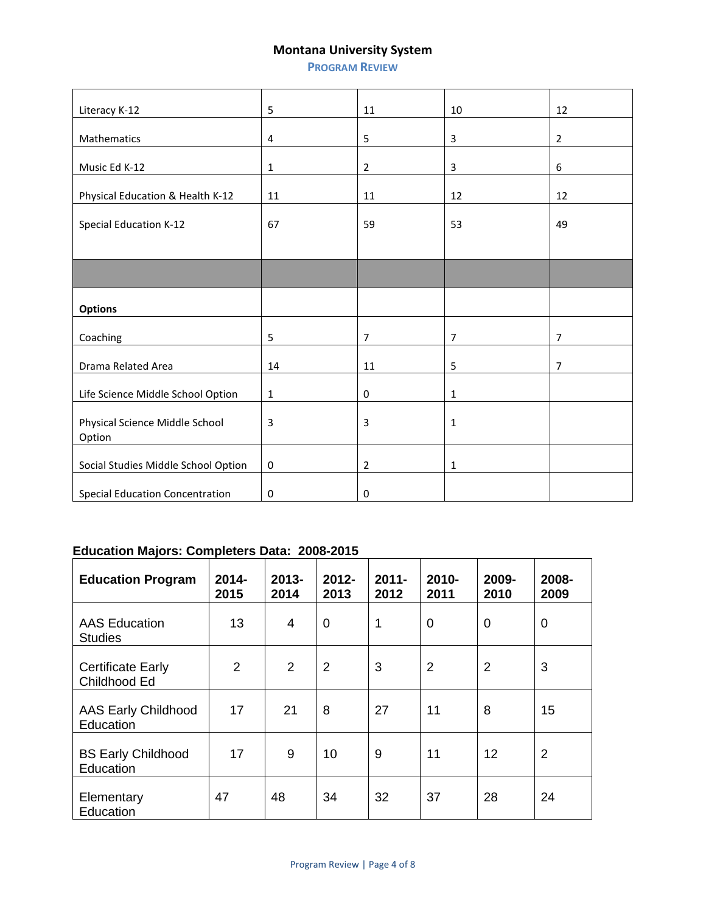**PROGRAM REVIEW**

| Literacy K-12                            | 5           | 11             | 10             | 12             |
|------------------------------------------|-------------|----------------|----------------|----------------|
| Mathematics                              | 4           | 5              | 3              | $\overline{2}$ |
| Music Ed K-12                            | $\mathbf 1$ | $\overline{2}$ | 3              | 6              |
| Physical Education & Health K-12         | 11          | 11             | 12             | 12             |
| <b>Special Education K-12</b>            | 67          | 59             | 53             | 49             |
|                                          |             |                |                |                |
| <b>Options</b>                           |             |                |                |                |
| Coaching                                 | 5           | $\overline{7}$ | $\overline{7}$ | $\overline{7}$ |
| Drama Related Area                       | 14          | 11             | 5              | $\overline{7}$ |
| Life Science Middle School Option        | 1           | 0              | 1              |                |
| Physical Science Middle School<br>Option | 3           | 3              | 1              |                |
| Social Studies Middle School Option      | 0           | $\overline{2}$ | 1              |                |
| <b>Special Education Concentration</b>   | 0           | 0              |                |                |

# **Education Majors: Completers Data: 2008-2015**

| <b>Education Program</b>                 | $2014 -$<br>2015 | $2013 -$<br>2014 | $2012 -$<br>2013 | $2011 -$<br>2012 | 2010-<br>2011  | 2009-<br>2010  | 2008-<br>2009  |
|------------------------------------------|------------------|------------------|------------------|------------------|----------------|----------------|----------------|
| <b>AAS Education</b><br><b>Studies</b>   | 13               | $\overline{4}$   | 0                | 1                | 0              | 0              | 0              |
| <b>Certificate Early</b><br>Childhood Ed | $\overline{2}$   | $\overline{2}$   | $\overline{2}$   | 3                | $\overline{2}$ | $\overline{2}$ | 3              |
| <b>AAS Early Childhood</b><br>Education  | 17               | 21               | 8                | 27               | 11             | 8              | 15             |
| <b>BS Early Childhood</b><br>Education   | 17               | 9                | 10               | 9                | 11             | 12             | $\overline{2}$ |
| Elementary<br>Education                  | 47               | 48               | 34               | 32               | 37             | 28             | 24             |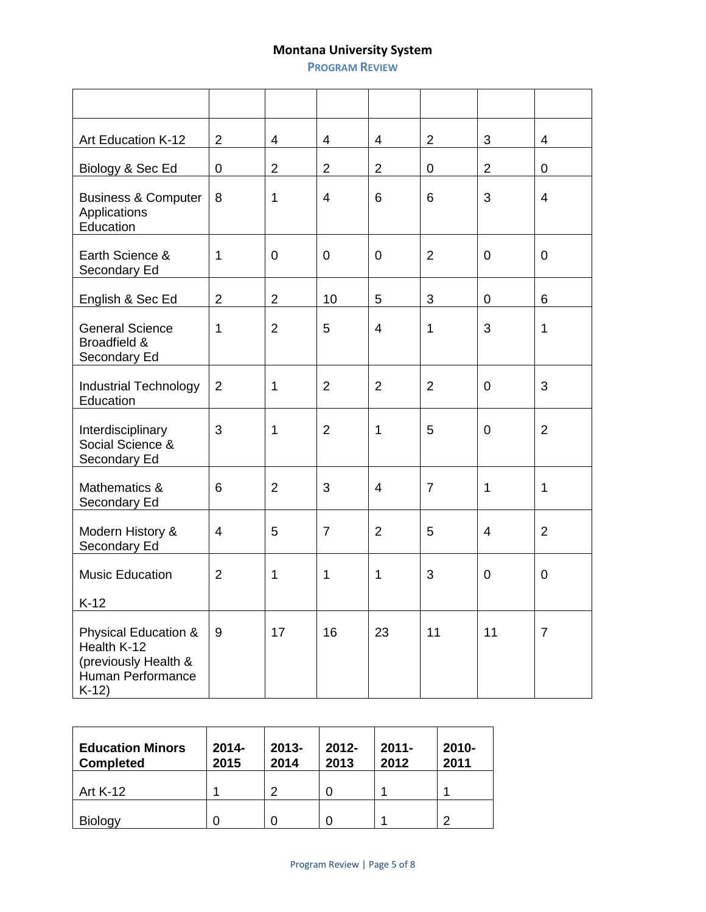**PROGRAM REVIEW**

| Art Education K-12                                                                                    | $\overline{2}$ | 4              | 4              | 4              | $\overline{2}$ | $\mathfrak{B}$ | 4                        |
|-------------------------------------------------------------------------------------------------------|----------------|----------------|----------------|----------------|----------------|----------------|--------------------------|
| Biology & Sec Ed                                                                                      | 0              | $\overline{2}$ | $\overline{2}$ | $\overline{2}$ | 0              | $\overline{2}$ | $\mathbf 0$              |
| <b>Business &amp; Computer</b><br>Applications<br>Education                                           | 8              | 1              | 4              | 6              | 6              | 3              | $\overline{\mathcal{A}}$ |
| Earth Science &<br>Secondary Ed                                                                       | 1              | $\overline{0}$ | $\mathbf 0$    | $\mathbf 0$    | $\overline{2}$ | $\overline{0}$ | $\mathbf 0$              |
| English & Sec Ed                                                                                      | $\overline{c}$ | $\overline{2}$ | 10             | 5              | 3              | $\pmb{0}$      | 6                        |
| <b>General Science</b><br>Broadfield &<br>Secondary Ed                                                | 1              | $\overline{2}$ | 5              | $\overline{4}$ | 1              | 3              | $\mathbf{1}$             |
| <b>Industrial Technology</b><br>Education                                                             | $\overline{2}$ | 1              | $\overline{2}$ | $\overline{2}$ | $\overline{2}$ | $\mathbf 0$    | 3                        |
| Interdisciplinary<br>Social Science &<br>Secondary Ed                                                 | 3              | 1              | $\overline{2}$ | $\mathbf{1}$   | 5              | $\overline{0}$ | $\overline{2}$           |
| Mathematics &<br>Secondary Ed                                                                         | 6              | $\overline{2}$ | 3              | $\overline{4}$ | $\overline{7}$ | 1              | $\mathbf{1}$             |
| Modern History &<br>Secondary Ed                                                                      | 4              | 5              | $\overline{7}$ | $\overline{2}$ | 5              | $\overline{4}$ | $\overline{2}$           |
| <b>Music Education</b><br>$K-12$                                                                      | $\overline{2}$ | 1              | 1              | $\mathbf 1$    | 3              | $\mathbf 0$    | $\mathbf 0$              |
| <b>Physical Education &amp;</b><br>Health K-12<br>(previously Health &<br>Human Performance<br>$K-12$ | 9              | 17             | 16             | 23             | 11             | 11             | $\overline{7}$           |

| <b>Education Minors</b><br><b>Completed</b> | $2014 -$<br>2015 | $2013 -$<br>2014 | $2012 -$<br>2013 | $2011 -$<br>2012 | $2010 -$<br>2011 |
|---------------------------------------------|------------------|------------------|------------------|------------------|------------------|
| <b>Art K-12</b>                             |                  | າ                |                  |                  |                  |
| <b>Biology</b>                              |                  |                  |                  |                  | റ                |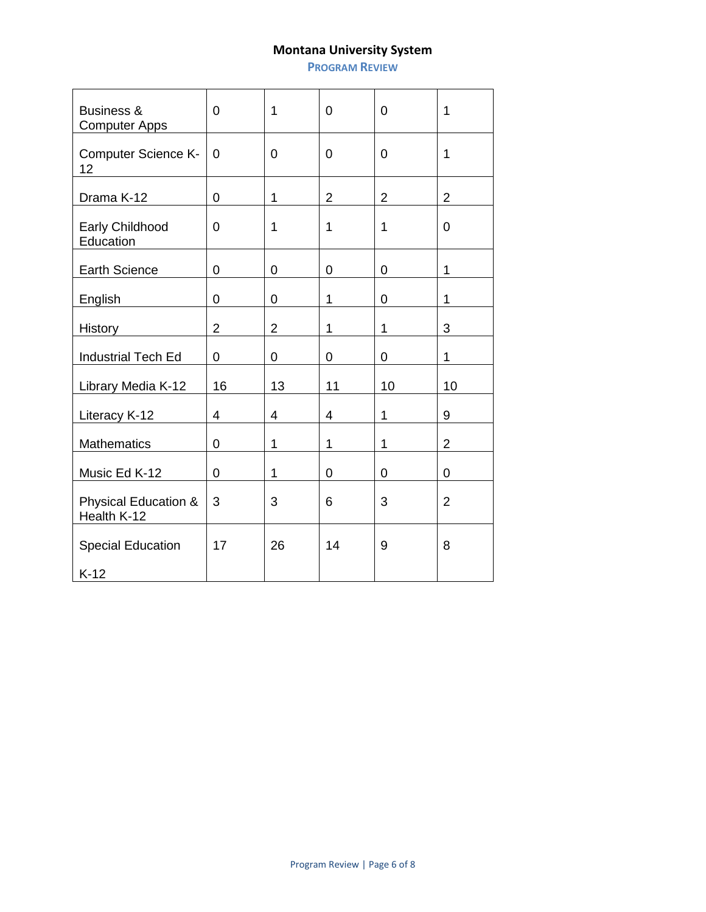**PROGRAM REVIEW**

| <b>Business &amp;</b><br><b>Computer Apps</b>  | 0              | 1              | $\overline{0}$ | $\overline{0}$ | 1              |
|------------------------------------------------|----------------|----------------|----------------|----------------|----------------|
| <b>Computer Science K-</b><br>12               | $\overline{0}$ | 0              | $\overline{0}$ | 0              | 1              |
| Drama K-12                                     | $\mathbf 0$    | 1              | $\overline{2}$ | $\overline{2}$ | $\overline{2}$ |
| Early Childhood<br>Education                   | 0              | 1              | 1              | 1              | 0              |
| <b>Earth Science</b>                           | $\overline{0}$ | 0              | $\overline{0}$ | $\overline{0}$ | 1              |
| English                                        | 0              | 0              | 1              | 0              | 1              |
| History                                        | $\overline{2}$ | $\overline{2}$ | 1              | 1              | 3              |
| <b>Industrial Tech Ed</b>                      | 0              | 0              | 0              | 0              | 1              |
| Library Media K-12                             | 16             | 13             | 11             | 10             | 10             |
| Literacy K-12                                  | 4              | 4              | 4              | 1              | 9              |
| <b>Mathematics</b>                             | 0              | 1              | 1              | 1              | $\overline{2}$ |
| Music Ed K-12                                  | 0              | 1              | 0              | 0              | 0              |
| <b>Physical Education &amp;</b><br>Health K-12 | 3              | 3              | 6              | 3              | $\overline{2}$ |
| <b>Special Education</b><br>$K-12$             | 17             | 26             | 14             | 9              | 8              |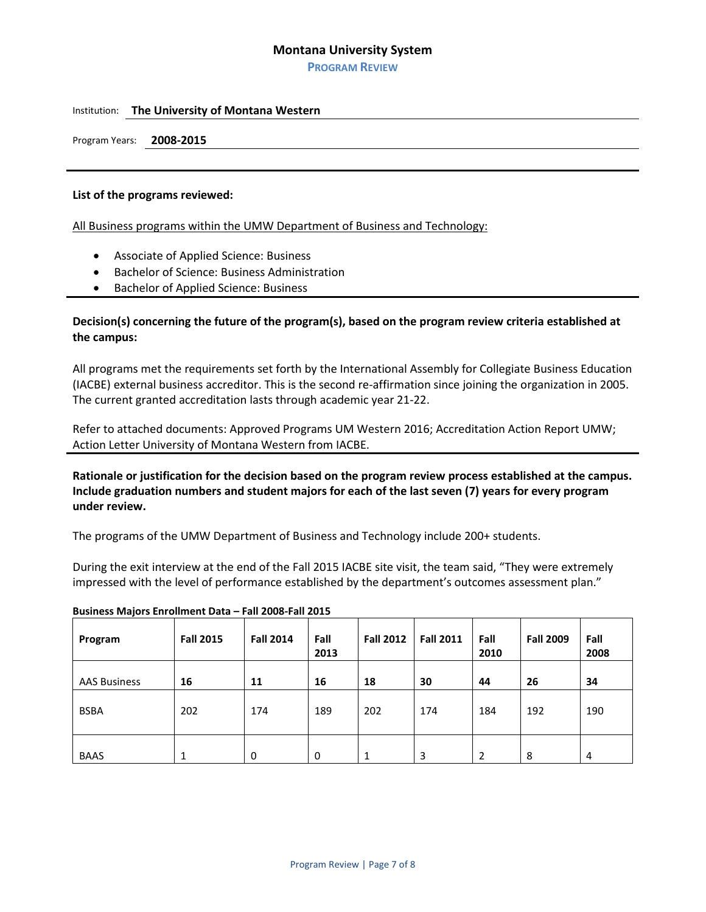**PROGRAM REVIEW**

#### Institution: **The University of Montana Western**

Program Years: **2008-2015**

#### **List of the programs reviewed:**

All Business programs within the UMW Department of Business and Technology:

- Associate of Applied Science: Business
- Bachelor of Science: Business Administration
- Bachelor of Applied Science: Business

## **Decision(s) concerning the future of the program(s), based on the program review criteria established at the campus:**

All programs met the requirements set forth by the International Assembly for Collegiate Business Education (IACBE) external business accreditor. This is the second re-affirmation since joining the organization in 2005. The current granted accreditation lasts through academic year 21-22.

Refer to attached documents: Approved Programs UM Western 2016; Accreditation Action Report UMW; Action Letter University of Montana Western from IACBE.

**Rationale or justification for the decision based on the program review process established at the campus. Include graduation numbers and student majors for each of the last seven (7) years for every program under review.**

The programs of the UMW Department of Business and Technology include 200+ students.

During the exit interview at the end of the Fall 2015 IACBE site visit, the team said, "They were extremely impressed with the level of performance established by the department's outcomes assessment plan."

| Program             | <b>Fall 2015</b> | <b>Fall 2014</b> | Fall<br>2013 | <b>Fall 2012</b> | <b>Fall 2011</b> | Fall<br>2010 | <b>Fall 2009</b> | Fall<br>2008 |
|---------------------|------------------|------------------|--------------|------------------|------------------|--------------|------------------|--------------|
| <b>AAS Business</b> | 16               | 11               | 16           | 18               | 30               | 44           | 26               | 34           |
| <b>BSBA</b>         | 202              | 174              | 189          | 202              | 174              | 184          | 192              | 190          |
| <b>BAAS</b>         |                  | 0                | 0            | 1                | 3                | 2            | 8                | 4            |

### **Business Majors Enrollment Data – Fall 2008-Fall 2015**